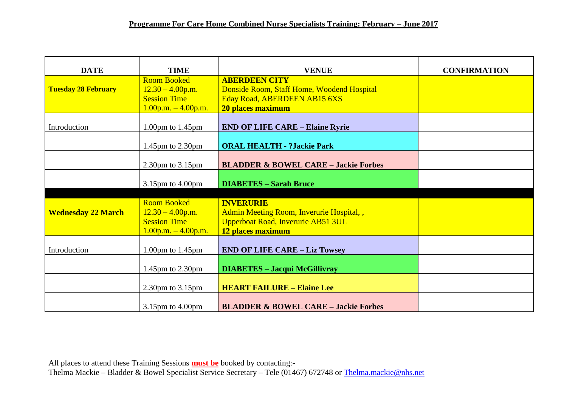| <b>DATE</b>                | <b>TIME</b>                                                                                  | <b>VENUE</b>                                                                                                            | <b>CONFIRMATION</b> |
|----------------------------|----------------------------------------------------------------------------------------------|-------------------------------------------------------------------------------------------------------------------------|---------------------|
| <b>Tuesday 28 February</b> | <b>Room Booked</b><br>$12.30 - 4.00$ p.m.<br><b>Session Time</b><br>$1.00$ p.m. $-4.00$ p.m. | <b>ABERDEEN CITY</b><br>Donside Room, Staff Home, Woodend Hospital<br>Eday Road, ABERDEEN AB15 6XS<br>20 places maximum |                     |
| Introduction               | 1.00pm to $1.45$ pm                                                                          | <b>END OF LIFE CARE - Elaine Ryrie</b>                                                                                  |                     |
|                            | 1.45pm to 2.30pm                                                                             | <b>ORAL HEALTH - ?Jackie Park</b>                                                                                       |                     |
|                            | $2.30 \text{pm}$ to $3.15 \text{pm}$                                                         | <b>BLADDER &amp; BOWEL CARE - Jackie Forbes</b>                                                                         |                     |
|                            | 3.15pm to 4.00pm                                                                             | <b>DIABETES - Sarah Bruce</b>                                                                                           |                     |
| <b>Wednesday 22 March</b>  | <b>Room Booked</b><br>$12.30 - 4.00$ p.m.<br><b>Session Time</b><br>$1.00$ p.m. $-4.00$ p.m. | <b>INVERURIE</b><br>Admin Meeting Room, Inverurie Hospital,,<br>Upperboat Road, Inverurie AB51 3UL<br>12 places maximum |                     |
| Introduction               | 1.00pm to $1.45$ pm                                                                          | <b>END OF LIFE CARE - Liz Towsey</b>                                                                                    |                     |
|                            | 1.45pm to 2.30pm                                                                             | <b>DIABETES - Jacqui McGillivray</b>                                                                                    |                     |
|                            | $2.30 \text{pm}$ to $3.15 \text{pm}$                                                         | <b>HEART FAILURE - Elaine Lee</b>                                                                                       |                     |
|                            | $3.15$ pm to $4.00$ pm                                                                       | <b>BLADDER &amp; BOWEL CARE - Jackie Forbes</b>                                                                         |                     |

All places to attend these Training Sessions **must be** booked by contacting:- Thelma Mackie – Bladder & Bowel Specialist Service Secretary – Tele (01467) 672748 or [Thelma.mackie@nhs.net](mailto:Thelma.mackie@nhs.net)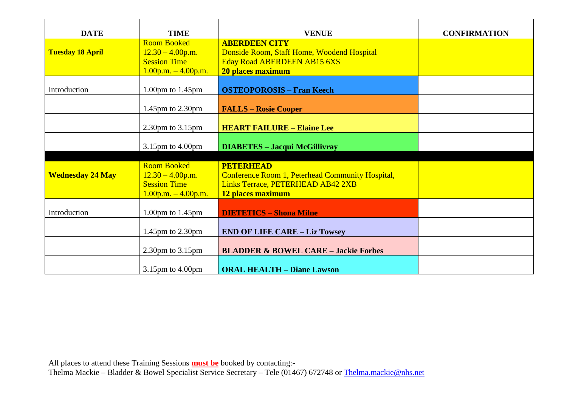| <b>DATE</b>             | <b>TIME</b>                                                                                  | <b>VENUE</b>                                                                                                                   | <b>CONFIRMATION</b> |
|-------------------------|----------------------------------------------------------------------------------------------|--------------------------------------------------------------------------------------------------------------------------------|---------------------|
| <b>Tuesday 18 April</b> | <b>Room Booked</b><br>$12.30 - 4.00$ p.m.<br><b>Session Time</b><br>$1.00$ p.m. $-4.00$ p.m. | <b>ABERDEEN CITY</b><br>Donside Room, Staff Home, Woodend Hospital<br>Eday Road ABERDEEN AB15 6XS<br>20 places maximum         |                     |
| Introduction            | 1.00pm to $1.45$ pm                                                                          | <b>OSTEOPOROSIS - Fran Keech</b>                                                                                               |                     |
|                         | 1.45 $pm$ to 2.30 $pm$                                                                       | <b>FALLS – Rosie Cooper</b>                                                                                                    |                     |
|                         | $2.30$ pm to $3.15$ pm                                                                       | <b>HEART FAILURE - Elaine Lee</b>                                                                                              |                     |
|                         | 3.15pm to 4.00pm                                                                             | <b>DIABETES - Jacqui McGillivray</b>                                                                                           |                     |
| <b>Wednesday 24 May</b> | <b>Room Booked</b><br>$12.30 - 4.00$ p.m.<br><b>Session Time</b><br>$1.00$ p.m. $-4.00$ p.m. | <b>PETERHEAD</b><br>Conference Room 1, Peterhead Community Hospital,<br>Links Terrace, PETERHEAD AB42 2XB<br>12 places maximum |                     |
| Introduction            | 1.00pm to $1.45$ pm                                                                          | <b>DIETETICS - Shona Milne</b>                                                                                                 |                     |
|                         | 1.45pm to 2.30pm                                                                             | <b>END OF LIFE CARE - Liz Towsey</b>                                                                                           |                     |
|                         | $2.30$ pm to $3.15$ pm                                                                       | <b>BLADDER &amp; BOWEL CARE - Jackie Forbes</b>                                                                                |                     |
|                         | $3.15$ pm to $4.00$ pm                                                                       | <b>ORAL HEALTH - Diane Lawson</b>                                                                                              |                     |

All places to attend these Training Sessions **must be** booked by contacting:- Thelma Mackie – Bladder & Bowel Specialist Service Secretary – Tele (01467) 672748 or [Thelma.mackie@nhs.net](mailto:Thelma.mackie@nhs.net)